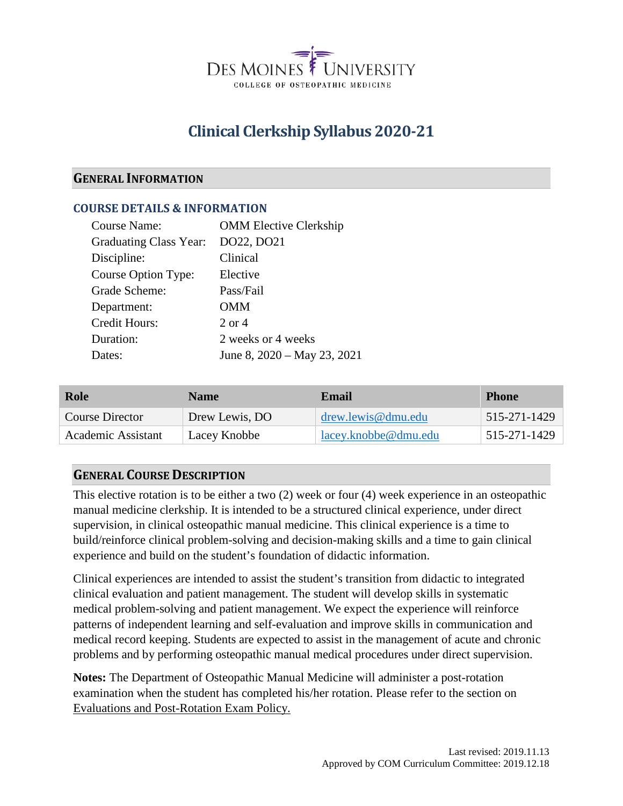

# **Clinical Clerkship Syllabus 2020-21**

## **GENERAL INFORMATION**

## **COURSE DETAILS & INFORMATION**

| Course Name:           | <b>OMM Elective Clerkship</b>    |
|------------------------|----------------------------------|
| Graduating Class Year: | DO22, DO21                       |
| Discipline:            | Clinical                         |
| Course Option Type:    | Elective                         |
| Grade Scheme:          | Pass/Fail                        |
| Department:            | OMM                              |
| Credit Hours:          | $2$ or $4$                       |
| Duration:              | 2 weeks or 4 weeks               |
| Dates:                 | June 8, $2020 - May 23$ , $2021$ |
|                        |                                  |

| Role               | <b>Name</b>    | Email                 | <b>Phone</b> |
|--------------------|----------------|-----------------------|--------------|
| Course Director    | Drew Lewis, DO | $d$ rew.lewis@dmu.edu | 515-271-1429 |
| Academic Assistant | Lacey Knobbe   | lacey.knobbe@dmu.edu  | 515-271-1429 |

## **GENERAL COURSE DESCRIPTION**

This elective rotation is to be either a two (2) week or four (4) week experience in an osteopathic manual medicine clerkship. It is intended to be a structured clinical experience, under direct supervision, in clinical osteopathic manual medicine. This clinical experience is a time to build/reinforce clinical problem-solving and decision-making skills and a time to gain clinical experience and build on the student's foundation of didactic information.

Clinical experiences are intended to assist the student's transition from didactic to integrated clinical evaluation and patient management. The student will develop skills in systematic medical problem-solving and patient management. We expect the experience will reinforce patterns of independent learning and self-evaluation and improve skills in communication and medical record keeping. Students are expected to assist in the management of acute and chronic problems and by performing osteopathic manual medical procedures under direct supervision.

**Notes:** The Department of Osteopathic Manual Medicine will administer a post-rotation examination when the student has completed his/her rotation. Please refer to the section on Evaluations and Post-Rotation Exam Policy.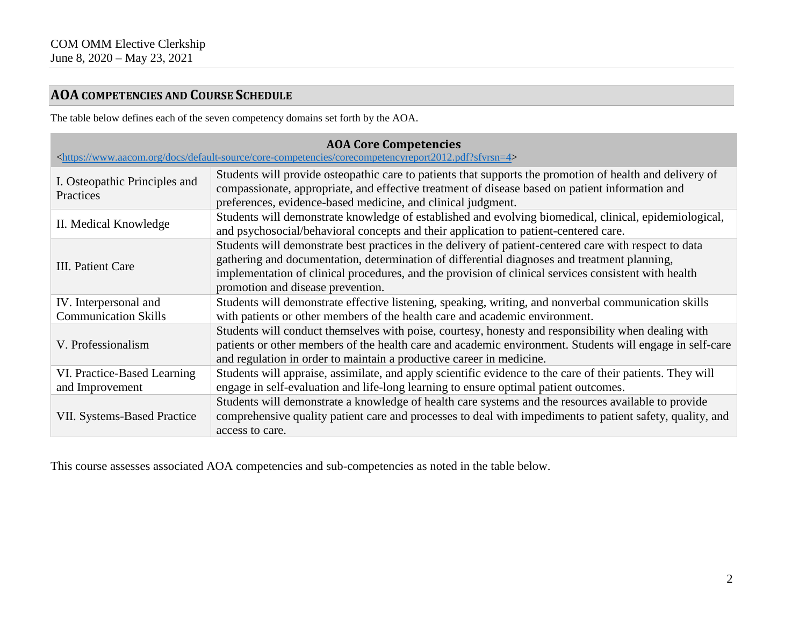## **AOA COMPETENCIES AND COURSE SCHEDULE**

The table below defines each of the seven competency domains set forth by the AOA.

| <b>AOA Core Competencies</b><br><https: core-competencies="" corecompetencyreport2012.pdf?sfvrsn="4" default-source="" docs="" www.aacom.org=""></https:> |                                                                                                                                                                                                                                                                                                                                                     |  |  |  |
|-----------------------------------------------------------------------------------------------------------------------------------------------------------|-----------------------------------------------------------------------------------------------------------------------------------------------------------------------------------------------------------------------------------------------------------------------------------------------------------------------------------------------------|--|--|--|
| I. Osteopathic Principles and<br>Practices                                                                                                                | Students will provide osteopathic care to patients that supports the promotion of health and delivery of<br>compassionate, appropriate, and effective treatment of disease based on patient information and<br>preferences, evidence-based medicine, and clinical judgment.                                                                         |  |  |  |
| II. Medical Knowledge                                                                                                                                     | Students will demonstrate knowledge of established and evolving biomedical, clinical, epidemiological,<br>and psychosocial/behavioral concepts and their application to patient-centered care.                                                                                                                                                      |  |  |  |
| III. Patient Care                                                                                                                                         | Students will demonstrate best practices in the delivery of patient-centered care with respect to data<br>gathering and documentation, determination of differential diagnoses and treatment planning,<br>implementation of clinical procedures, and the provision of clinical services consistent with health<br>promotion and disease prevention. |  |  |  |
| IV. Interpersonal and<br><b>Communication Skills</b>                                                                                                      | Students will demonstrate effective listening, speaking, writing, and nonverbal communication skills<br>with patients or other members of the health care and academic environment.                                                                                                                                                                 |  |  |  |
| V. Professionalism                                                                                                                                        | Students will conduct themselves with poise, courtesy, honesty and responsibility when dealing with<br>patients or other members of the health care and academic environment. Students will engage in self-care<br>and regulation in order to maintain a productive career in medicine.                                                             |  |  |  |
| VI. Practice-Based Learning<br>and Improvement                                                                                                            | Students will appraise, assimilate, and apply scientific evidence to the care of their patients. They will<br>engage in self-evaluation and life-long learning to ensure optimal patient outcomes.                                                                                                                                                  |  |  |  |
| <b>VII. Systems-Based Practice</b>                                                                                                                        | Students will demonstrate a knowledge of health care systems and the resources available to provide<br>comprehensive quality patient care and processes to deal with impediments to patient safety, quality, and<br>access to care.                                                                                                                 |  |  |  |

This course assesses associated AOA competencies and sub-competencies as noted in the table below.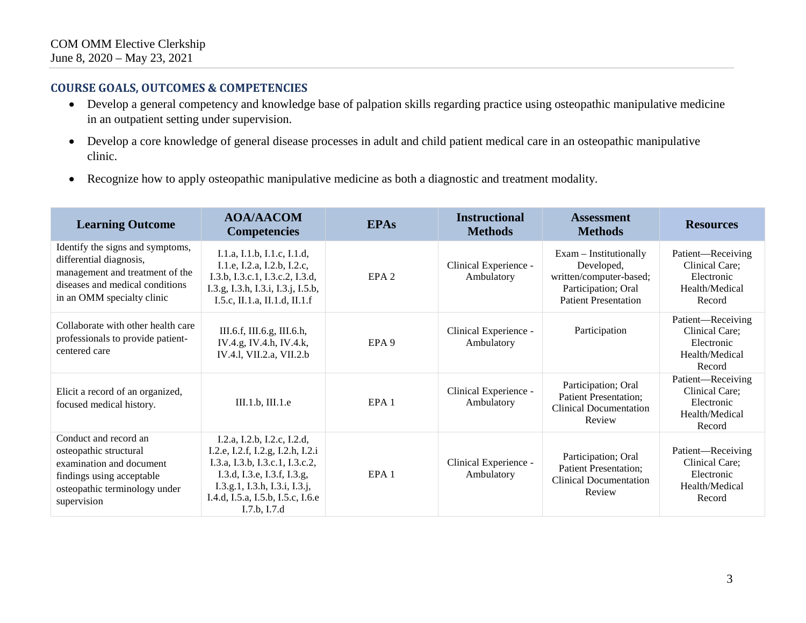## **COURSE GOALS, OUTCOMES & COMPETENCIES**

- Develop a general competency and knowledge base of palpation skills regarding practice using osteopathic manipulative medicine in an outpatient setting under supervision.
- Develop a core knowledge of general disease processes in adult and child patient medical care in an osteopathic manipulative clinic.
- Recognize how to apply osteopathic manipulative medicine as both a diagnostic and treatment modality.

| <b>Learning Outcome</b>                                                                                                                                         | <b>AOA/AACOM</b><br><b>Competencies</b>                                                                                                                                                                                  | <b>EPAs</b>      | <b>Instructional</b><br><b>Methods</b> | <b>Assessment</b><br><b>Methods</b>                                                                                     | <b>Resources</b>                                                              |
|-----------------------------------------------------------------------------------------------------------------------------------------------------------------|--------------------------------------------------------------------------------------------------------------------------------------------------------------------------------------------------------------------------|------------------|----------------------------------------|-------------------------------------------------------------------------------------------------------------------------|-------------------------------------------------------------------------------|
| Identify the signs and symptoms,<br>differential diagnosis,<br>management and treatment of the<br>diseases and medical conditions<br>in an OMM specialty clinic | I.1.a, I.1.b, I.1.c, I.1.d,<br>I.1.e, I.2.a, I.2.b, I.2.c,<br>I.3.b, I.3.c.1, I.3.c.2, I.3.d,<br>I.3.g, I.3.h, I.3.i, I.3.j, I.5.b,<br>I.5.c, II.1.a, II.1.d, II.1.f                                                     | EPA <sub>2</sub> | Clinical Experience -<br>Ambulatory    | $Exam -$ Institutionally<br>Developed,<br>written/computer-based;<br>Participation; Oral<br><b>Patient Presentation</b> | Patient—Receiving<br>Clinical Care;<br>Electronic<br>Health/Medical<br>Record |
| Collaborate with other health care<br>professionals to provide patient-<br>centered care                                                                        | III.6.f, III.6.g, III.6.h,<br>IV.4.g, IV.4.h, IV.4.k,<br>IV.4.1, VII.2.a, VII.2.b                                                                                                                                        | EPA <sub>9</sub> | Clinical Experience -<br>Ambulatory    | Participation                                                                                                           | Patient-Receiving<br>Clinical Care;<br>Electronic<br>Health/Medical<br>Record |
| Elicit a record of an organized,<br>focused medical history.                                                                                                    | III.1.b, III.1.e                                                                                                                                                                                                         | EPA <sub>1</sub> | Clinical Experience -<br>Ambulatory    | Participation; Oral<br><b>Patient Presentation;</b><br><b>Clinical Documentation</b><br>Review                          | Patient-Receiving<br>Clinical Care;<br>Electronic<br>Health/Medical<br>Record |
| Conduct and record an<br>osteopathic structural<br>examination and document<br>findings using acceptable<br>osteopathic terminology under<br>supervision        | I.2.a, I.2.b, I.2.c, I.2.d,<br>I.2.e, I.2.f, I.2.g, I.2.h, I.2.i<br>I.3.a, I.3.b, I.3.c.1, I.3.c.2,<br>I.3.d, I.3.e, I.3.f, I.3.g,<br>I.3.g.1, I.3.h, I.3.i, I.3.j,<br>I.4.d, I.5.a, I.5.b, I.5.c, I.6.e<br>I.7.b, I.7.d | EPA <sub>1</sub> | Clinical Experience -<br>Ambulatory    | Participation; Oral<br><b>Patient Presentation;</b><br><b>Clinical Documentation</b><br>Review                          | Patient—Receiving<br>Clinical Care;<br>Electronic<br>Health/Medical<br>Record |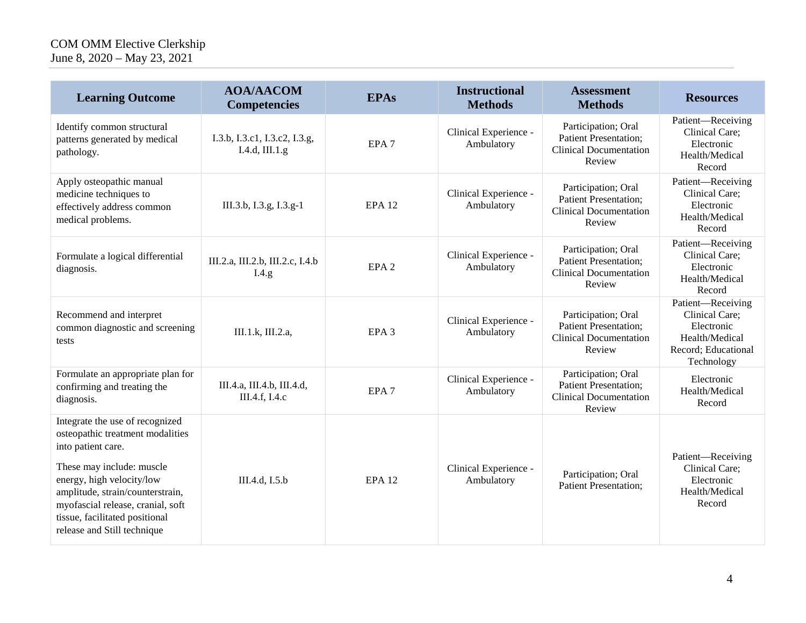#### COM OMM Elective Clerkship June 8, 2020 – May 23, 2021

| <b>Learning Outcome</b>                                                                                                                                                                                                                                                                       | <b>AOA/AACOM</b><br><b>Competencies</b>         | <b>EPAs</b>      | <b>Instructional</b><br><b>Methods</b> | <b>Assessment</b><br><b>Methods</b>                                                            | <b>Resources</b>                                                                                         |
|-----------------------------------------------------------------------------------------------------------------------------------------------------------------------------------------------------------------------------------------------------------------------------------------------|-------------------------------------------------|------------------|----------------------------------------|------------------------------------------------------------------------------------------------|----------------------------------------------------------------------------------------------------------|
| Identify common structural<br>patterns generated by medical<br>pathology.                                                                                                                                                                                                                     | I.3.b, I.3.c1, I.3.c2, I.3.g,<br>I.4.d, III.1.g | EPA <sub>7</sub> | Clinical Experience -<br>Ambulatory    | Participation; Oral<br><b>Patient Presentation;</b><br><b>Clinical Documentation</b><br>Review | Patient-Receiving<br>Clinical Care;<br>Electronic<br>Health/Medical<br>Record                            |
| Apply osteopathic manual<br>medicine techniques to<br>effectively address common<br>medical problems.                                                                                                                                                                                         | III.3.b, I.3.g, I.3.g-1                         | <b>EPA 12</b>    | Clinical Experience -<br>Ambulatory    | Participation; Oral<br><b>Patient Presentation;</b><br><b>Clinical Documentation</b><br>Review | Patient-Receiving<br>Clinical Care;<br>Electronic<br>Health/Medical<br>Record                            |
| Formulate a logical differential<br>diagnosis.                                                                                                                                                                                                                                                | III.2.a, III.2.b, III.2.c, I.4.b<br>I.4.g.      | EPA <sub>2</sub> | Clinical Experience -<br>Ambulatory    | Participation; Oral<br><b>Patient Presentation;</b><br><b>Clinical Documentation</b><br>Review | Patient-Receiving<br>Clinical Care;<br>Electronic<br>Health/Medical<br>Record                            |
| Recommend and interpret<br>common diagnostic and screening<br>tests                                                                                                                                                                                                                           | III.1.k, III.2.a,                               | EPA <sub>3</sub> | Clinical Experience -<br>Ambulatory    | Participation; Oral<br><b>Patient Presentation;</b><br><b>Clinical Documentation</b><br>Review | Patient-Receiving<br>Clinical Care;<br>Electronic<br>Health/Medical<br>Record; Educational<br>Technology |
| Formulate an appropriate plan for<br>confirming and treating the<br>diagnosis.                                                                                                                                                                                                                | III.4.a, III.4.b, III.4.d,<br>III.4.f, I.4.c    | EPA <sub>7</sub> | Clinical Experience -<br>Ambulatory    | Participation; Oral<br><b>Patient Presentation;</b><br><b>Clinical Documentation</b><br>Review | Electronic<br>Health/Medical<br>Record                                                                   |
| Integrate the use of recognized<br>osteopathic treatment modalities<br>into patient care.<br>These may include: muscle<br>energy, high velocity/low<br>amplitude, strain/counterstrain,<br>myofascial release, cranial, soft<br>tissue, facilitated positional<br>release and Still technique | III.4.d, I.5.b                                  | <b>EPA 12</b>    | Clinical Experience -<br>Ambulatory    | Participation; Oral<br><b>Patient Presentation;</b>                                            | Patient-Receiving<br>Clinical Care;<br>Electronic<br>Health/Medical<br>Record                            |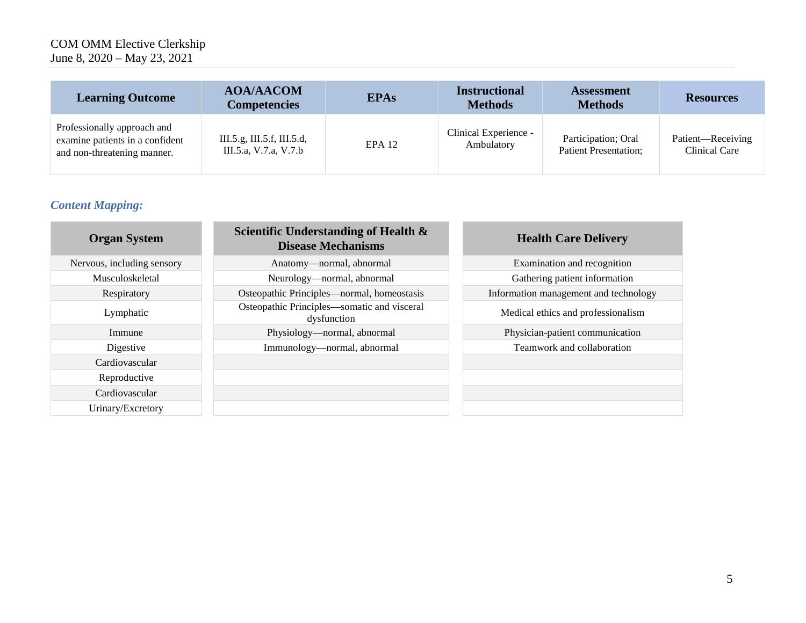#### COM OMM Elective Clerkship June 8, 2020 – May 23, 2021

| <b>Learning Outcome</b>                                                                       | <b>AOA/AACOM</b><br><b>Competencies</b>             | <b>EPAs</b> | <b>Instructional</b><br><b>Methods</b> | <b>Assessment</b><br><b>Methods</b>                 | <b>Resources</b>                   |
|-----------------------------------------------------------------------------------------------|-----------------------------------------------------|-------------|----------------------------------------|-----------------------------------------------------|------------------------------------|
| Professionally approach and<br>examine patients in a confident<br>and non-threatening manner. | III.5.g, III.5.f, III.5.d,<br>III.5.a, V.7.a, V.7.b | $EPA$ 12    | Clinical Experience -<br>Ambulatory    | Participation; Oral<br><b>Patient Presentation;</b> | Patient-Receiving<br>Clinical Care |

## *Content Mapping:*

| <b>Organ System</b>        | Scientific Understanding of Health &<br><b>Disease Mechanisms</b> | <b>Health Care Delivery</b>           |
|----------------------------|-------------------------------------------------------------------|---------------------------------------|
| Nervous, including sensory | Anatomy-normal, abnormal                                          | Examination and recognition           |
| Musculoskeletal            | Neurology-normal, abnormal                                        | Gathering patient information         |
| Respiratory                | Osteopathic Principles—normal, homeostasis                        | Information management and technology |
| Lymphatic                  | Osteopathic Principles—somatic and visceral<br>dysfunction        | Medical ethics and professionalism    |
| Immune                     | Physiology—normal, abnormal                                       | Physician-patient communication       |
| Digestive                  | Immunology—normal, abnormal                                       | Teamwork and collaboration            |
| Cardiovascular             |                                                                   |                                       |
| Reproductive               |                                                                   |                                       |
| Cardiovascular             |                                                                   |                                       |
| Urinary/Excretory          |                                                                   |                                       |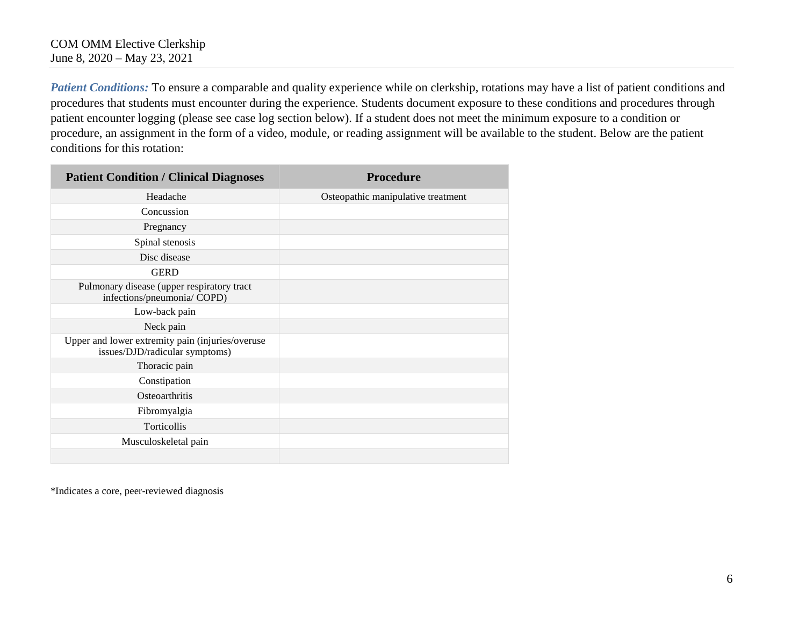*Patient Conditions:* To ensure a comparable and quality experience while on clerkship, rotations may have a list of patient conditions and procedures that students must encounter during the experience. Students document exposure to these conditions and procedures through patient encounter logging (please see case log section below). If a student does not meet the minimum exposure to a condition or procedure, an assignment in the form of a video, module, or reading assignment will be available to the student. Below are the patient conditions for this rotation:

| <b>Patient Condition / Clinical Diagnoses</b>                                      | <b>Procedure</b>                   |
|------------------------------------------------------------------------------------|------------------------------------|
| Headache                                                                           | Osteopathic manipulative treatment |
| Concussion                                                                         |                                    |
| Pregnancy                                                                          |                                    |
| Spinal stenosis                                                                    |                                    |
| Disc disease                                                                       |                                    |
| <b>GERD</b>                                                                        |                                    |
| Pulmonary disease (upper respiratory tract<br>infections/pneumonia/ COPD)          |                                    |
| Low-back pain                                                                      |                                    |
| Neck pain                                                                          |                                    |
| Upper and lower extremity pain (injuries/overuse<br>issues/DJD/radicular symptoms) |                                    |
| Thoracic pain                                                                      |                                    |
| Constipation                                                                       |                                    |
| Osteoarthritis                                                                     |                                    |
| Fibromyalgia                                                                       |                                    |
| Torticollis                                                                        |                                    |
| Musculoskeletal pain                                                               |                                    |
|                                                                                    |                                    |

\*Indicates a core, peer-reviewed diagnosis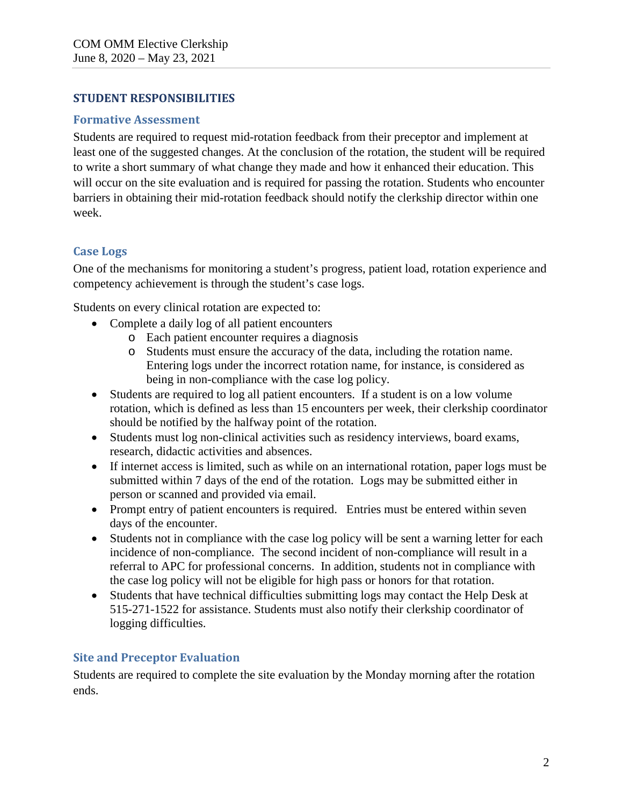## **STUDENT RESPONSIBILITIES**

#### **Formative Assessment**

Students are required to request mid-rotation feedback from their preceptor and implement at least one of the suggested changes. At the conclusion of the rotation, the student will be required to write a short summary of what change they made and how it enhanced their education. This will occur on the site evaluation and is required for passing the rotation. Students who encounter barriers in obtaining their mid-rotation feedback should notify the clerkship director within one week.

## **Case Logs**

One of the mechanisms for monitoring a student's progress, patient load, rotation experience and competency achievement is through the student's case logs.

Students on every clinical rotation are expected to:

- Complete a daily log of all patient encounters
	- o Each patient encounter requires a diagnosis
	- o Students must ensure the accuracy of the data, including the rotation name. Entering logs under the incorrect rotation name, for instance, is considered as being in non-compliance with the case log policy.
- Students are required to log all patient encounters. If a student is on a low volume rotation, which is defined as less than 15 encounters per week, their clerkship coordinator should be notified by the halfway point of the rotation.
- Students must log non-clinical activities such as residency interviews, board exams, research, didactic activities and absences.
- If internet access is limited, such as while on an international rotation, paper logs must be submitted within 7 days of the end of the rotation. Logs may be submitted either in person or scanned and provided via email.
- Prompt entry of patient encounters is required. Entries must be entered within seven days of the encounter.
- Students not in compliance with the case log policy will be sent a warning letter for each incidence of non-compliance. The second incident of non-compliance will result in a referral to APC for professional concerns. In addition, students not in compliance with the case log policy will not be eligible for high pass or honors for that rotation.
- Students that have technical difficulties submitting logs may contact the Help Desk at 515-271-1522 for assistance. Students must also notify their clerkship coordinator of logging difficulties.

## **Site and Preceptor Evaluation**

Students are required to complete the site evaluation by the Monday morning after the rotation ends.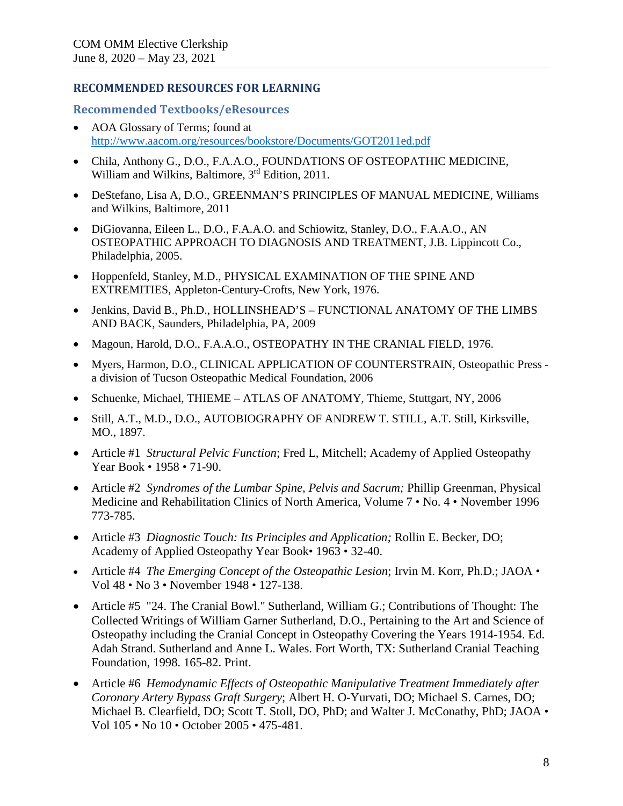#### **RECOMMENDED RESOURCES FOR LEARNING**

#### **Recommended Textbooks/eResources**

- AOA Glossary of Terms; found at <http://www.aacom.org/resources/bookstore/Documents/GOT2011ed.pdf>
- Chila, Anthony G., D.O., F.A.A.O., FOUNDATIONS OF OSTEOPATHIC MEDICINE, William and Wilkins, Baltimore, 3<sup>rd</sup> Edition, 2011.
- DeStefano, Lisa A, D.O., GREENMAN'S PRINCIPLES OF MANUAL MEDICINE, Williams and Wilkins, Baltimore, 2011
- DiGiovanna, Eileen L., D.O., F.A.A.O. and Schiowitz, Stanley, D.O., F.A.A.O., AN OSTEOPATHIC APPROACH TO DIAGNOSIS AND TREATMENT, J.B. Lippincott Co., Philadelphia, 2005.
- Hoppenfeld, Stanley, M.D., PHYSICAL EXAMINATION OF THE SPINE AND EXTREMITIES, Appleton-Century-Crofts, New York, 1976.
- Jenkins, David B., Ph.D., HOLLINSHEAD'S FUNCTIONAL ANATOMY OF THE LIMBS AND BACK, Saunders, Philadelphia, PA, 2009
- Magoun, Harold, D.O., F.A.A.O., OSTEOPATHY IN THE CRANIAL FIELD, 1976.
- Myers, Harmon, D.O., CLINICAL APPLICATION OF COUNTERSTRAIN, Osteopathic Press a division of Tucson Osteopathic Medical Foundation, 2006
- Schuenke, Michael, THIEME ATLAS OF ANATOMY, Thieme, Stuttgart, NY, 2006
- Still, A.T., M.D., D.O., AUTOBIOGRAPHY OF ANDREW T. STILL, A.T. Still, Kirksville, MO., 1897.
- Article #1 *Structural Pelvic Function*; Fred L, Mitchell; Academy of Applied Osteopathy Year Book • 1958 • 71-90.
- Article #2 *Syndromes of the Lumbar Spine, Pelvis and Sacrum;* Phillip Greenman, Physical Medicine and Rehabilitation Clinics of North America, Volume 7 • No. 4 • November 1996 773-785.
- Article #3 *Diagnostic Touch: Its Principles and Application;* Rollin E. Becker, DO; Academy of Applied Osteopathy Year Book• 1963 • 32-40.
- Article #4 *The Emerging Concept of the Osteopathic Lesion*; Irvin M. Korr, Ph.D.; JAOA Vol 48 • No 3 • November 1948 • 127-138.
- Article #5 "24. The Cranial Bowl." Sutherland, William G.; Contributions of Thought: The Collected Writings of William Garner Sutherland, D.O., Pertaining to the Art and Science of Osteopathy including the Cranial Concept in Osteopathy Covering the Years 1914-1954. Ed. Adah Strand. Sutherland and Anne L. Wales. Fort Worth, TX: Sutherland Cranial Teaching Foundation, 1998. 165-82. Print.
- Article #6 *Hemodynamic Effects of Osteopathic Manipulative Treatment Immediately after Coronary Artery Bypass Graft Surgery*; Albert H. O-Yurvati, DO; Michael S. Carnes, DO; Michael B. Clearfield, DO; Scott T. Stoll, DO, PhD; and Walter J. McConathy, PhD; JAOA • Vol 105 • No 10 • October 2005 • 475-481.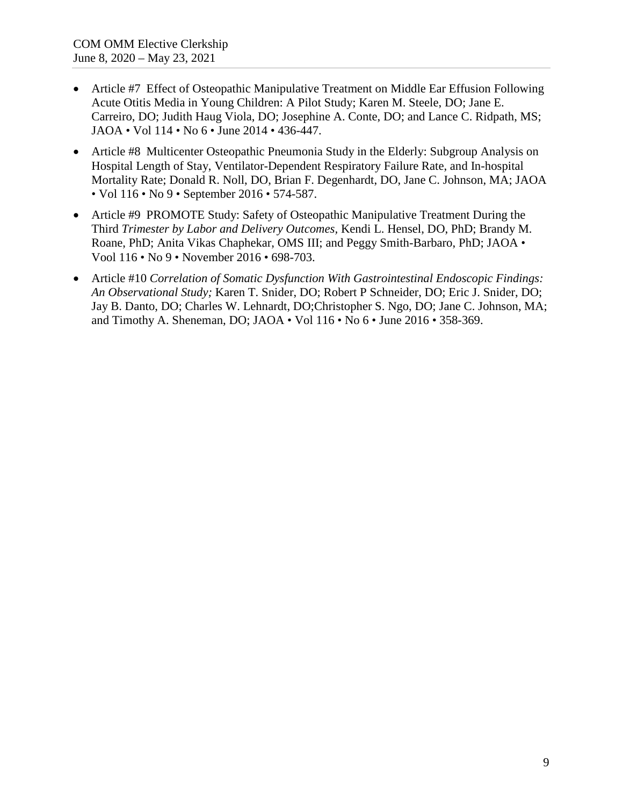- Article #7 Effect of Osteopathic Manipulative Treatment on Middle Ear Effusion Following Acute Otitis Media in Young Children: A Pilot Study; Karen M. Steele, DO; Jane E. Carreiro, DO; Judith Haug Viola, DO; Josephine A. Conte, DO; and Lance C. Ridpath, MS; JAOA • Vol 114 • No 6 • June 2014 • 436-447.
- Article #8 Multicenter Osteopathic Pneumonia Study in the Elderly: Subgroup Analysis on Hospital Length of Stay, Ventilator-Dependent Respiratory Failure Rate, and In-hospital Mortality Rate; Donald R. Noll, DO, Brian F. Degenhardt, DO, Jane C. Johnson, MA; JAOA • Vol 116 • No 9 • September 2016 • 574-587.
- Article #9 PROMOTE Study: Safety of Osteopathic Manipulative Treatment During the Third *Trimester by Labor and Delivery Outcomes,* Kendi L. Hensel, DO, PhD; Brandy M. Roane, PhD; Anita Vikas Chaphekar, OMS III; and Peggy Smith-Barbaro, PhD; JAOA • Vool 116 • No 9 • November 2016 • 698-703.
- Article #10 *Correlation of Somatic Dysfunction With Gastrointestinal Endoscopic Findings: An Observational Study;* Karen T. Snider, DO; Robert P Schneider, DO; Eric J. Snider, DO; Jay B. Danto, DO; Charles W. Lehnardt, DO;Christopher S. Ngo, DO; Jane C. Johnson, MA; and Timothy A. Sheneman, DO; JAOA • Vol 116 • No 6 • June 2016 • 358-369.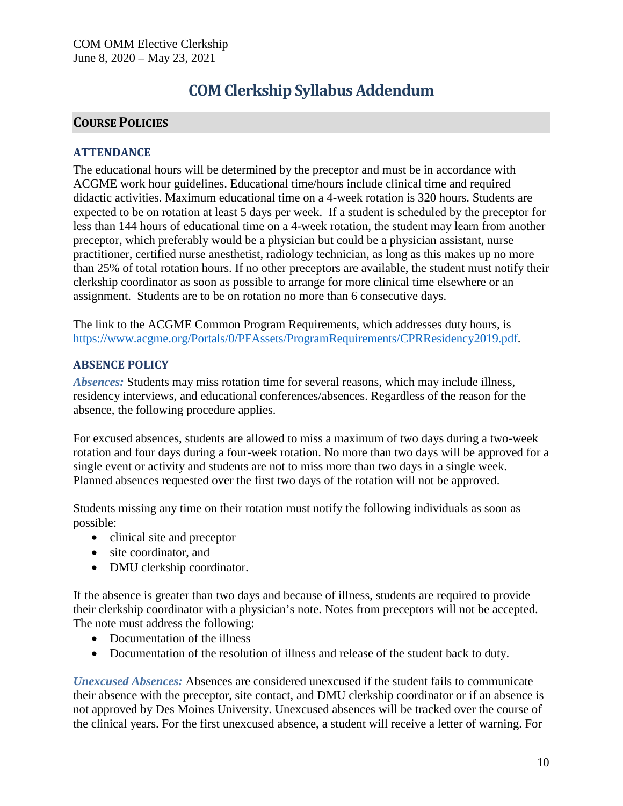# **COM Clerkship Syllabus Addendum**

## **COURSE POLICIES**

## **ATTENDANCE**

The educational hours will be determined by the preceptor and must be in accordance with ACGME work hour guidelines. Educational time/hours include clinical time and required didactic activities. Maximum educational time on a 4-week rotation is 320 hours. Students are expected to be on rotation at least 5 days per week. If a student is scheduled by the preceptor for less than 144 hours of educational time on a 4-week rotation, the student may learn from another preceptor, which preferably would be a physician but could be a physician assistant, nurse practitioner, certified nurse anesthetist, radiology technician, as long as this makes up no more than 25% of total rotation hours. If no other preceptors are available, the student must notify their clerkship coordinator as soon as possible to arrange for more clinical time elsewhere or an assignment. Students are to be on rotation no more than 6 consecutive days.

The link to the ACGME Common Program Requirements, which addresses duty hours, is [https://www.acgme.org/Portals/0/PFAssets/ProgramRequirements/CPRResidency2019.pdf.](https://www.acgme.org/Portals/0/PFAssets/ProgramRequirements/CPRResidency2019.pdf)

## **ABSENCE POLICY**

*Absences:* Students may miss rotation time for several reasons, which may include illness, residency interviews, and educational conferences/absences. Regardless of the reason for the absence, the following procedure applies.

For excused absences, students are allowed to miss a maximum of two days during a two-week rotation and four days during a four-week rotation. No more than two days will be approved for a single event or activity and students are not to miss more than two days in a single week. Planned absences requested over the first two days of the rotation will not be approved.

Students missing any time on their rotation must notify the following individuals as soon as possible:

- clinical site and preceptor
- site coordinator, and
- DMU clerkship coordinator.

If the absence is greater than two days and because of illness, students are required to provide their clerkship coordinator with a physician's note. Notes from preceptors will not be accepted. The note must address the following:

- Documentation of the illness
- Documentation of the resolution of illness and release of the student back to duty.

*Unexcused Absences:* Absences are considered unexcused if the student fails to communicate their absence with the preceptor, site contact, and DMU clerkship coordinator or if an absence is not approved by Des Moines University. Unexcused absences will be tracked over the course of the clinical years. For the first unexcused absence, a student will receive a letter of warning. For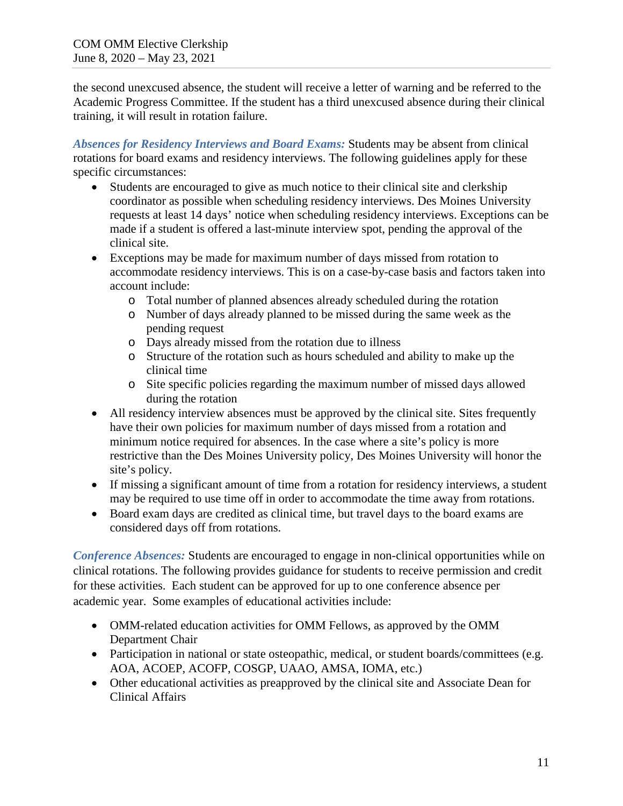the second unexcused absence, the student will receive a letter of warning and be referred to the Academic Progress Committee. If the student has a third unexcused absence during their clinical training, it will result in rotation failure.

*Absences for Residency Interviews and Board Exams:* Students may be absent from clinical rotations for board exams and residency interviews. The following guidelines apply for these specific circumstances:

- Students are encouraged to give as much notice to their clinical site and clerkship coordinator as possible when scheduling residency interviews. Des Moines University requests at least 14 days' notice when scheduling residency interviews. Exceptions can be made if a student is offered a last-minute interview spot, pending the approval of the clinical site.
- Exceptions may be made for maximum number of days missed from rotation to accommodate residency interviews. This is on a case-by-case basis and factors taken into account include:
	- o Total number of planned absences already scheduled during the rotation
	- o Number of days already planned to be missed during the same week as the pending request
	- o Days already missed from the rotation due to illness
	- o Structure of the rotation such as hours scheduled and ability to make up the clinical time
	- o Site specific policies regarding the maximum number of missed days allowed during the rotation
- All residency interview absences must be approved by the clinical site. Sites frequently have their own policies for maximum number of days missed from a rotation and minimum notice required for absences. In the case where a site's policy is more restrictive than the Des Moines University policy, Des Moines University will honor the site's policy.
- If missing a significant amount of time from a rotation for residency interviews, a student may be required to use time off in order to accommodate the time away from rotations.
- Board exam days are credited as clinical time, but travel days to the board exams are considered days off from rotations.

*Conference Absences:* Students are encouraged to engage in non-clinical opportunities while on clinical rotations. The following provides guidance for students to receive permission and credit for these activities. Each student can be approved for up to one conference absence per academic year. Some examples of educational activities include:

- OMM-related education activities for OMM Fellows, as approved by the OMM Department Chair
- Participation in national or state osteopathic, medical, or student boards/committees (e.g. AOA, ACOEP, ACOFP, COSGP, UAAO, AMSA, IOMA, etc.)
- Other educational activities as preapproved by the clinical site and Associate Dean for Clinical Affairs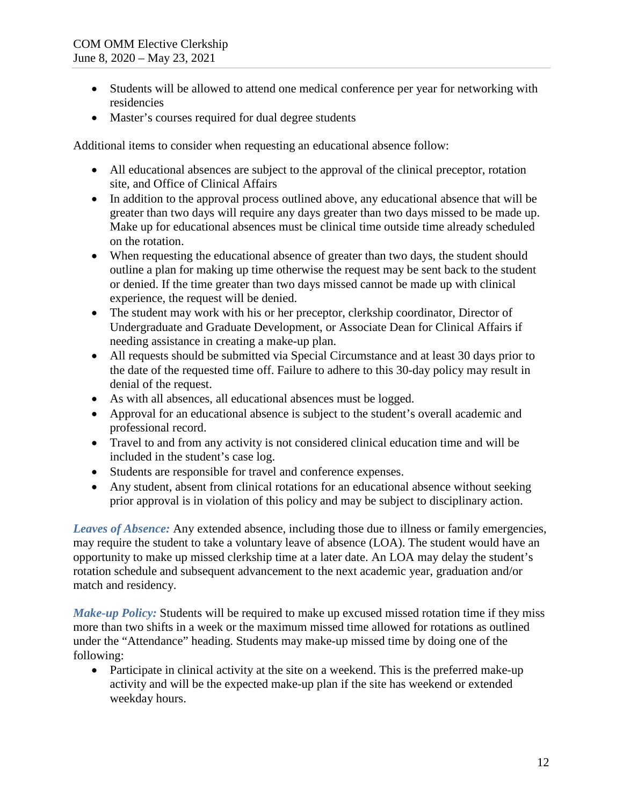- Students will be allowed to attend one medical conference per year for networking with residencies
- Master's courses required for dual degree students

Additional items to consider when requesting an educational absence follow:

- All educational absences are subject to the approval of the clinical preceptor, rotation site, and Office of Clinical Affairs
- In addition to the approval process outlined above, any educational absence that will be greater than two days will require any days greater than two days missed to be made up. Make up for educational absences must be clinical time outside time already scheduled on the rotation.
- When requesting the educational absence of greater than two days, the student should outline a plan for making up time otherwise the request may be sent back to the student or denied. If the time greater than two days missed cannot be made up with clinical experience, the request will be denied.
- The student may work with his or her preceptor, clerkship coordinator, Director of Undergraduate and Graduate Development, or Associate Dean for Clinical Affairs if needing assistance in creating a make-up plan.
- All requests should be submitted via Special Circumstance and at least 30 days prior to the date of the requested time off. Failure to adhere to this 30-day policy may result in denial of the request.
- As with all absences, all educational absences must be logged.
- Approval for an educational absence is subject to the student's overall academic and professional record.
- Travel to and from any activity is not considered clinical education time and will be included in the student's case log.
- Students are responsible for travel and conference expenses.
- Any student, absent from clinical rotations for an educational absence without seeking prior approval is in violation of this policy and may be subject to disciplinary action.

*Leaves of Absence:* Any extended absence, including those due to illness or family emergencies, may require the student to take a voluntary leave of absence (LOA). The student would have an opportunity to make up missed clerkship time at a later date. An LOA may delay the student's rotation schedule and subsequent advancement to the next academic year, graduation and/or match and residency.

*Make-up Policy:* Students will be required to make up excused missed rotation time if they miss more than two shifts in a week or the maximum missed time allowed for rotations as outlined under the "Attendance" heading. Students may make-up missed time by doing one of the following:

• Participate in clinical activity at the site on a weekend. This is the preferred make-up activity and will be the expected make-up plan if the site has weekend or extended weekday hours.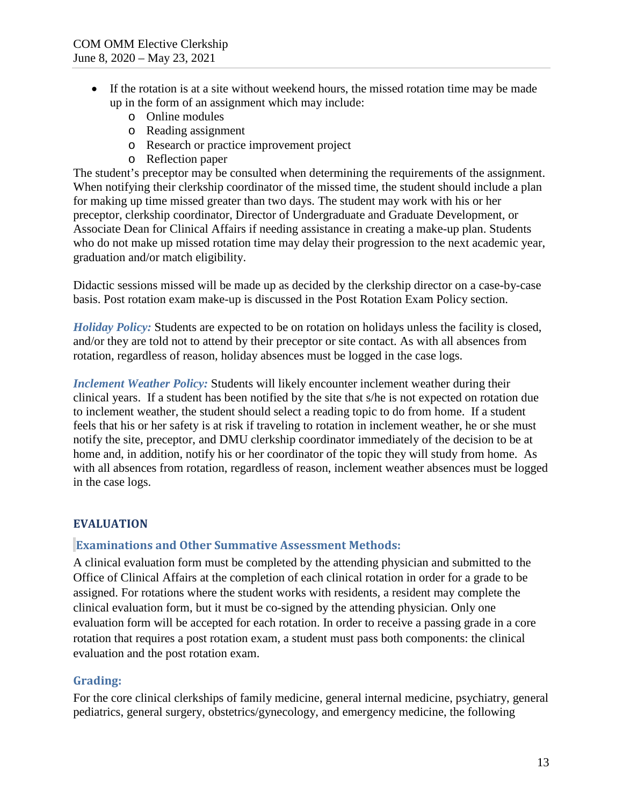- If the rotation is at a site without weekend hours, the missed rotation time may be made up in the form of an assignment which may include:
	- o Online modules
	- o Reading assignment
	- o Research or practice improvement project
	- o Reflection paper

The student's preceptor may be consulted when determining the requirements of the assignment. When notifying their clerkship coordinator of the missed time, the student should include a plan for making up time missed greater than two days. The student may work with his or her preceptor, clerkship coordinator, Director of Undergraduate and Graduate Development, or Associate Dean for Clinical Affairs if needing assistance in creating a make-up plan. Students who do not make up missed rotation time may delay their progression to the next academic year, graduation and/or match eligibility.

Didactic sessions missed will be made up as decided by the clerkship director on a case-by-case basis. Post rotation exam make-up is discussed in the Post Rotation Exam Policy section.

*Holiday Policy:* Students are expected to be on rotation on holidays unless the facility is closed, and/or they are told not to attend by their preceptor or site contact. As with all absences from rotation, regardless of reason, holiday absences must be logged in the case logs.

*Inclement Weather Policy:* Students will likely encounter inclement weather during their clinical years. If a student has been notified by the site that s/he is not expected on rotation due to inclement weather, the student should select a reading topic to do from home. If a student feels that his or her safety is at risk if traveling to rotation in inclement weather, he or she must notify the site, preceptor, and DMU clerkship coordinator immediately of the decision to be at home and, in addition, notify his or her coordinator of the topic they will study from home. As with all absences from rotation, regardless of reason, inclement weather absences must be logged in the case logs.

## **EVALUATION**

## **Examinations and Other Summative Assessment Methods:**

A clinical evaluation form must be completed by the attending physician and submitted to the Office of Clinical Affairs at the completion of each clinical rotation in order for a grade to be assigned. For rotations where the student works with residents, a resident may complete the clinical evaluation form, but it must be co-signed by the attending physician. Only one evaluation form will be accepted for each rotation. In order to receive a passing grade in a core rotation that requires a post rotation exam, a student must pass both components: the clinical evaluation and the post rotation exam.

## **Grading:**

For the core clinical clerkships of family medicine, general internal medicine, psychiatry, general pediatrics, general surgery, obstetrics/gynecology, and emergency medicine, the following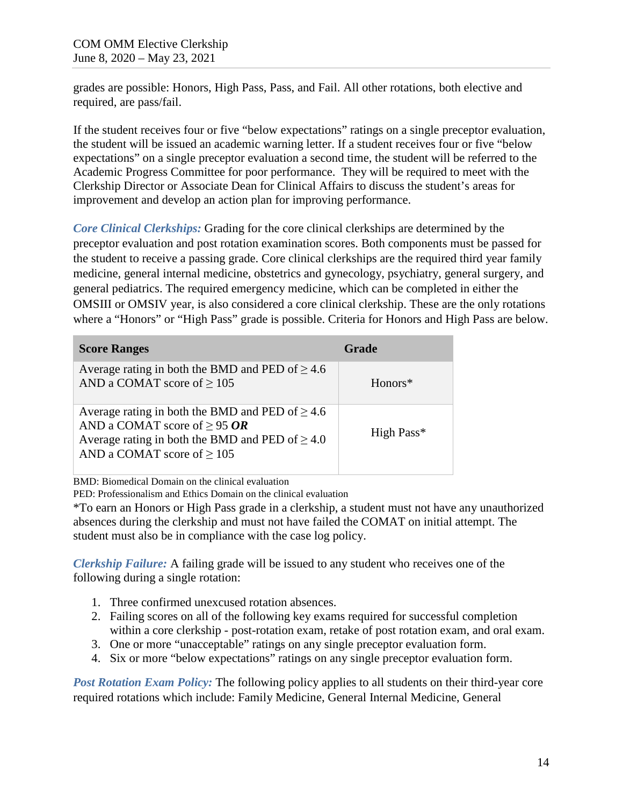grades are possible: Honors, High Pass, Pass, and Fail. All other rotations, both elective and required, are pass/fail.

If the student receives four or five "below expectations" ratings on a single preceptor evaluation, the student will be issued an academic warning letter. If a student receives four or five "below expectations" on a single preceptor evaluation a second time, the student will be referred to the Academic Progress Committee for poor performance. They will be required to meet with the Clerkship Director or Associate Dean for Clinical Affairs to discuss the student's areas for improvement and develop an action plan for improving performance.

*Core Clinical Clerkships:* Grading for the core clinical clerkships are determined by the preceptor evaluation and post rotation examination scores. Both components must be passed for the student to receive a passing grade. Core clinical clerkships are the required third year family medicine, general internal medicine, obstetrics and gynecology, psychiatry, general surgery, and general pediatrics. The required emergency medicine, which can be completed in either the OMSIII or OMSIV year, is also considered a core clinical clerkship. These are the only rotations where a "Honors" or "High Pass" grade is possible. Criteria for Honors and High Pass are below.

| <b>Score Ranges</b>                                                                                                                                                                  | <b>Grade</b> |
|--------------------------------------------------------------------------------------------------------------------------------------------------------------------------------------|--------------|
| Average rating in both the BMD and PED of $\geq 4.6$<br>AND a COMAT score of $\geq$ 105                                                                                              | Honors*      |
| Average rating in both the BMD and PED of $\geq 4.6$<br>AND a COMAT score of $\geq$ 95 OR<br>Average rating in both the BMD and PED of $\geq 4.0$<br>AND a COMAT score of $\geq$ 105 | High Pass*   |

BMD: Biomedical Domain on the clinical evaluation

PED: Professionalism and Ethics Domain on the clinical evaluation

\*To earn an Honors or High Pass grade in a clerkship, a student must not have any unauthorized absences during the clerkship and must not have failed the COMAT on initial attempt. The student must also be in compliance with the case log policy.

*Clerkship Failure:* A failing grade will be issued to any student who receives one of the following during a single rotation:

- 1. Three confirmed unexcused rotation absences.
- 2. Failing scores on all of the following key exams required for successful completion within a core clerkship - post-rotation exam, retake of post rotation exam, and oral exam.
- 3. One or more "unacceptable" ratings on any single preceptor evaluation form.
- 4. Six or more "below expectations" ratings on any single preceptor evaluation form.

*Post Rotation Exam Policy:* The following policy applies to all students on their third-year core required rotations which include: Family Medicine, General Internal Medicine, General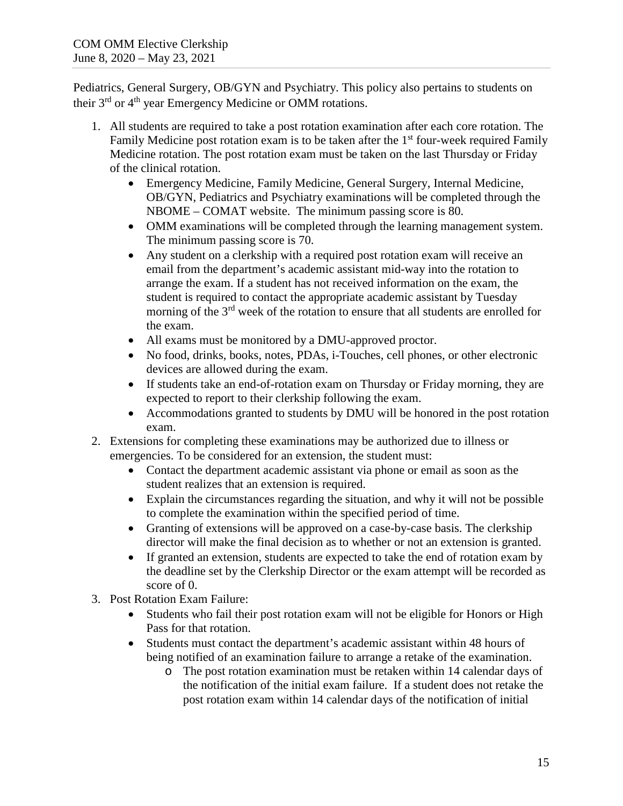Pediatrics, General Surgery, OB/GYN and Psychiatry. This policy also pertains to students on their 3<sup>rd</sup> or 4<sup>th</sup> year Emergency Medicine or OMM rotations.

- 1. All students are required to take a post rotation examination after each core rotation. The Family Medicine post rotation exam is to be taken after the  $1<sup>st</sup>$  four-week required Family Medicine rotation. The post rotation exam must be taken on the last Thursday or Friday of the clinical rotation.
	- Emergency Medicine, Family Medicine, General Surgery, Internal Medicine, OB/GYN, Pediatrics and Psychiatry examinations will be completed through the NBOME – COMAT website. The minimum passing score is 80.
	- OMM examinations will be completed through the learning management system. The minimum passing score is 70.
	- Any student on a clerkship with a required post rotation exam will receive an email from the department's academic assistant mid-way into the rotation to arrange the exam. If a student has not received information on the exam, the student is required to contact the appropriate academic assistant by Tuesday morning of the 3<sup>rd</sup> week of the rotation to ensure that all students are enrolled for the exam.
	- All exams must be monitored by a DMU-approved proctor.
	- No food, drinks, books, notes, PDAs, i-Touches, cell phones, or other electronic devices are allowed during the exam.
	- If students take an end-of-rotation exam on Thursday or Friday morning, they are expected to report to their clerkship following the exam.
	- Accommodations granted to students by DMU will be honored in the post rotation exam.
- 2. Extensions for completing these examinations may be authorized due to illness or emergencies. To be considered for an extension, the student must:
	- Contact the department academic assistant via phone or email as soon as the student realizes that an extension is required.
	- Explain the circumstances regarding the situation, and why it will not be possible to complete the examination within the specified period of time.
	- Granting of extensions will be approved on a case-by-case basis. The clerkship director will make the final decision as to whether or not an extension is granted.
	- If granted an extension, students are expected to take the end of rotation exam by the deadline set by the Clerkship Director or the exam attempt will be recorded as score of 0.
- 3. Post Rotation Exam Failure:
	- Students who fail their post rotation exam will not be eligible for Honors or High Pass for that rotation.
	- Students must contact the department's academic assistant within 48 hours of being notified of an examination failure to arrange a retake of the examination.
		- o The post rotation examination must be retaken within 14 calendar days of the notification of the initial exam failure. If a student does not retake the post rotation exam within 14 calendar days of the notification of initial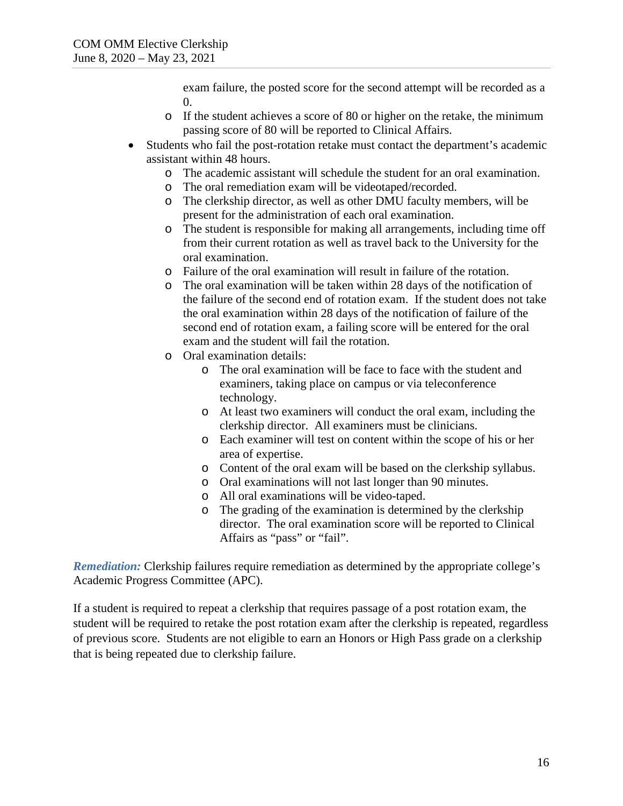exam failure, the posted score for the second attempt will be recorded as a 0.

- o If the student achieves a score of 80 or higher on the retake, the minimum passing score of 80 will be reported to Clinical Affairs.
- Students who fail the post-rotation retake must contact the department's academic assistant within 48 hours.
	- o The academic assistant will schedule the student for an oral examination.
	- The oral remediation exam will be videotaped/recorded.
	- o The clerkship director, as well as other DMU faculty members, will be present for the administration of each oral examination.
	- o The student is responsible for making all arrangements, including time off from their current rotation as well as travel back to the University for the oral examination.
	- o Failure of the oral examination will result in failure of the rotation.
	- o The oral examination will be taken within 28 days of the notification of the failure of the second end of rotation exam. If the student does not take the oral examination within 28 days of the notification of failure of the second end of rotation exam, a failing score will be entered for the oral exam and the student will fail the rotation.
	- o Oral examination details:
		- o The oral examination will be face to face with the student and examiners, taking place on campus or via teleconference technology.
		- o At least two examiners will conduct the oral exam, including the clerkship director. All examiners must be clinicians.
		- o Each examiner will test on content within the scope of his or her area of expertise.
		- o Content of the oral exam will be based on the clerkship syllabus.
		- o Oral examinations will not last longer than 90 minutes.
		- o All oral examinations will be video-taped.
		- o The grading of the examination is determined by the clerkship director. The oral examination score will be reported to Clinical Affairs as "pass" or "fail".

*Remediation:* Clerkship failures require remediation as determined by the appropriate college's Academic Progress Committee (APC).

If a student is required to repeat a clerkship that requires passage of a post rotation exam, the student will be required to retake the post rotation exam after the clerkship is repeated, regardless of previous score. Students are not eligible to earn an Honors or High Pass grade on a clerkship that is being repeated due to clerkship failure.